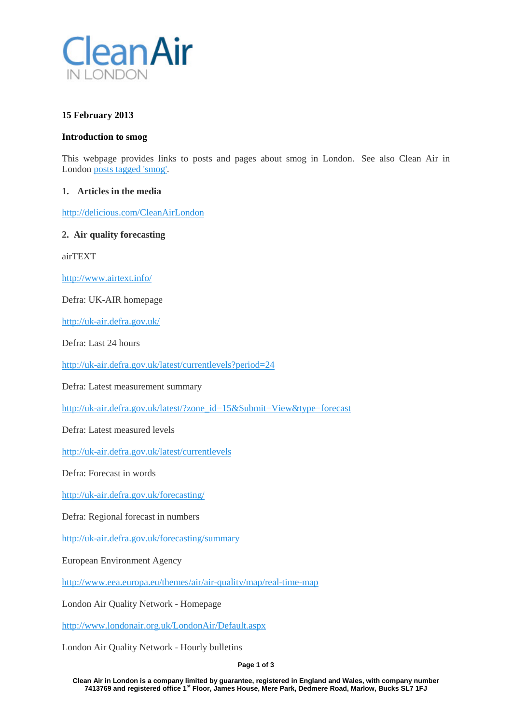

# **15 February 2013**

#### **Introduction to smog**

This webpage provides links to posts and pages about smog in London. See also Clean Air in London [posts tagged 'smog'.](http://cleanairinlondon.org/tag/smog/)

#### **1. Articles in the media**

<http://delicious.com/CleanAirLondon>

#### **2. Air quality forecasting**

airTEXT

<http://www.airtext.info/>

Defra: UK-AIR homepage

<http://uk-air.defra.gov.uk/>

Defra: Last 24 hours

<http://uk-air.defra.gov.uk/latest/currentlevels?period=24>

Defra: Latest measurement summary

[http://uk-air.defra.gov.uk/latest/?zone\\_id=15&Submit=View&type=forecast](http://uk-air.defra.gov.uk/latest/?zone_id=15&Submit=View&type=forecast)

Defra: Latest measured levels

<http://uk-air.defra.gov.uk/latest/currentlevels>

Defra: Forecast in words

<http://uk-air.defra.gov.uk/forecasting/>

Defra: Regional forecast in numbers

<http://uk-air.defra.gov.uk/forecasting/summary>

European Environment Agency

<http://www.eea.europa.eu/themes/air/air-quality/map/real-time-map>

London Air Quality Network - Homepage

<http://www.londonair.org.uk/LondonAir/Default.aspx>

London Air Quality Network - Hourly bulletins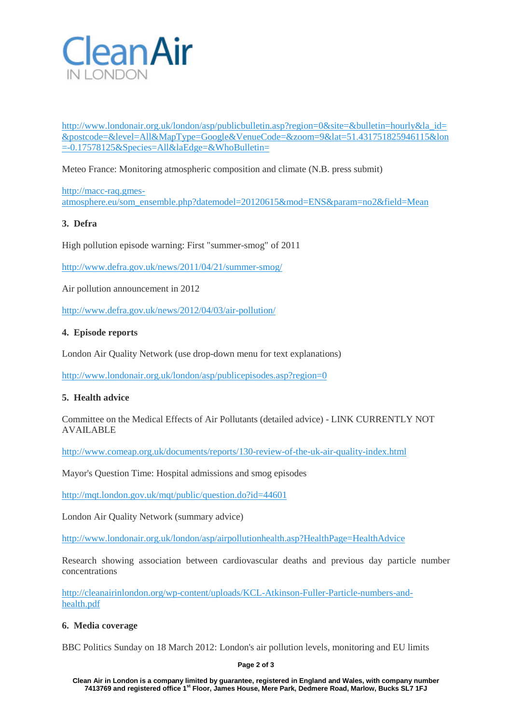

[http://www.londonair.org.uk/london/asp/publicbulletin.asp?region=0&site=&bulletin=hourly&la\\_id=](http://www.londonair.org.uk/london/asp/publicbulletin.asp?region=0&site=&bulletin=hourly&la_id=&postcode=&level=All&MapType=Google&VenueCode=&zoom=9&lat=51.431751825946115&lon=-0.17578125&Species=All&laEdge=&WhoBulletin=) [&postcode=&level=All&MapType=Google&VenueCode=&zoom=9&lat=51.431751825946115&lon](http://www.londonair.org.uk/london/asp/publicbulletin.asp?region=0&site=&bulletin=hourly&la_id=&postcode=&level=All&MapType=Google&VenueCode=&zoom=9&lat=51.431751825946115&lon=-0.17578125&Species=All&laEdge=&WhoBulletin=) [=-0.17578125&Species=All&laEdge=&WhoBulletin=](http://www.londonair.org.uk/london/asp/publicbulletin.asp?region=0&site=&bulletin=hourly&la_id=&postcode=&level=All&MapType=Google&VenueCode=&zoom=9&lat=51.431751825946115&lon=-0.17578125&Species=All&laEdge=&WhoBulletin=)

Meteo France: Monitoring atmospheric composition and climate (N.B. press submit)

[http://macc-raq.gmes](http://macc-raq.gmes-atmosphere.eu/som_ensemble.php?datemodel=20120615&mod=ENS¶m=no2&field=Mean)[atmosphere.eu/som\\_ensemble.php?datemodel=20120615&mod=ENS&param=no2&field=Mean](http://macc-raq.gmes-atmosphere.eu/som_ensemble.php?datemodel=20120615&mod=ENS¶m=no2&field=Mean)

# **3. Defra**

High pollution episode warning: First "summer-smog" of 2011

<http://www.defra.gov.uk/news/2011/04/21/summer-smog/>

Air pollution announcement in 2012

<http://www.defra.gov.uk/news/2012/04/03/air-pollution/>

## **4. Episode reports**

London Air Quality Network (use drop-down menu for text explanations)

<http://www.londonair.org.uk/london/asp/publicepisodes.asp?region=0>

## **5. Health advice**

Committee on the Medical Effects of Air Pollutants (detailed advice) - LINK CURRENTLY NOT AVAILABLE

<http://www.comeap.org.uk/documents/reports/130-review-of-the-uk-air-quality-index.html>

Mayor's Question Time: Hospital admissions and smog episodes

<http://mqt.london.gov.uk/mqt/public/question.do?id=44601>

London Air Quality Network (summary advice)

<http://www.londonair.org.uk/london/asp/airpollutionhealth.asp?HealthPage=HealthAdvice>

Research showing association between cardiovascular deaths and previous day particle number concentrations

[http://cleanairinlondon.org/wp-content/uploads/KCL-Atkinson-Fuller-Particle-numbers-and](http://cleanairinlondon.org/wp-content/uploads/KCL-Atkinson-Fuller-Particle-numbers-and-health.pdf)[health.pdf](http://cleanairinlondon.org/wp-content/uploads/KCL-Atkinson-Fuller-Particle-numbers-and-health.pdf)

## **6. Media coverage**

BBC Politics Sunday on 18 March 2012: London's air pollution levels, monitoring and EU limits

#### **Page 2 of 3**

**Clean Air in London is a company limited by guarantee, registered in England and Wales, with company number 7413769 and registered office 1st Floor, James House, Mere Park, Dedmere Road, Marlow, Bucks SL7 1FJ**